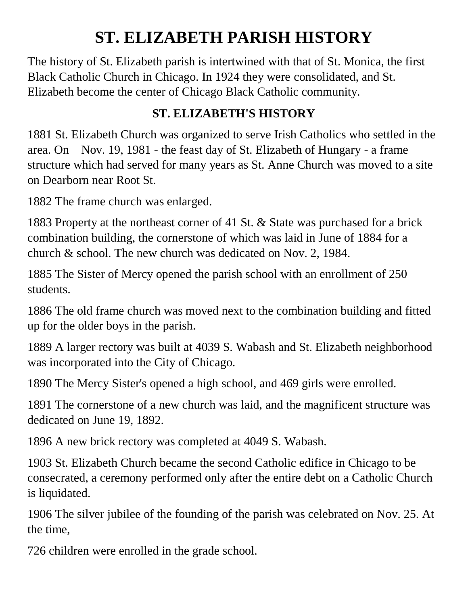## **ST. ELIZABETH PARISH HISTORY**

The history of St. Elizabeth parish is intertwined with that of St. Monica, the first Black Catholic Church in Chicago. In 1924 they were consolidated, and St. Elizabeth become the center of Chicago Black Catholic community.

## **ST. ELIZABETH'S HISTORY**

1881 St. Elizabeth Church was organized to serve Irish Catholics who settled in the area. On Nov. 19, 1981 - the feast day of St. Elizabeth of Hungary - a frame structure which had served for many years as St. Anne Church was moved to a site on Dearborn near Root St.

1882 The frame church was enlarged.

1883 Property at the northeast corner of 41 St. & State was purchased for a brick combination building, the cornerstone of which was laid in June of 1884 for a church & school. The new church was dedicated on Nov. 2, 1984.

1885 The Sister of Mercy opened the parish school with an enrollment of 250 students.

1886 The old frame church was moved next to the combination building and fitted up for the older boys in the parish.

1889 A larger rectory was built at 4039 S. Wabash and St. Elizabeth neighborhood was incorporated into the City of Chicago.

1890 The Mercy Sister's opened a high school, and 469 girls were enrolled.

1891 The cornerstone of a new church was laid, and the magnificent structure was dedicated on June 19, 1892.

1896 A new brick rectory was completed at 4049 S. Wabash.

1903 St. Elizabeth Church became the second Catholic edifice in Chicago to be consecrated, a ceremony performed only after the entire debt on a Catholic Church is liquidated.

1906 The silver jubilee of the founding of the parish was celebrated on Nov. 25. At the time,

726 children were enrolled in the grade school.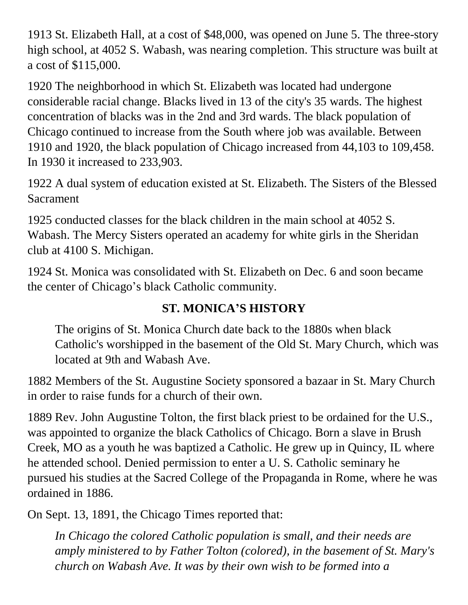1913 St. Elizabeth Hall, at a cost of \$48,000, was opened on June 5. The three-story high school, at 4052 S. Wabash, was nearing completion. This structure was built at a cost of \$115,000.

1920 The neighborhood in which St. Elizabeth was located had undergone considerable racial change. Blacks lived in 13 of the city's 35 wards. The highest concentration of blacks was in the 2nd and 3rd wards. The black population of Chicago continued to increase from the South where job was available. Between 1910 and 1920, the black population of Chicago increased from 44,103 to 109,458. In 1930 it increased to 233,903.

1922 A dual system of education existed at St. Elizabeth. The Sisters of the Blessed Sacrament

1925 conducted classes for the black children in the main school at 4052 S. Wabash. The Mercy Sisters operated an academy for white girls in the Sheridan club at 4100 S. Michigan.

1924 St. Monica was consolidated with St. Elizabeth on Dec. 6 and soon became the center of Chicago's black Catholic community.

## **ST. MONICA'S HISTORY**

The origins of St. Monica Church date back to the 1880s when black Catholic's worshipped in the basement of the Old St. Mary Church, which was located at 9th and Wabash Ave.

1882 Members of the St. Augustine Society sponsored a bazaar in St. Mary Church in order to raise funds for a church of their own.

1889 Rev. John Augustine Tolton, the first black priest to be ordained for the U.S., was appointed to organize the black Catholics of Chicago. Born a slave in Brush Creek, MO as a youth he was baptized a Catholic. He grew up in Quincy, IL where he attended school. Denied permission to enter a U. S. Catholic seminary he pursued his studies at the Sacred College of the Propaganda in Rome, where he was ordained in 1886.

On Sept. 13, 1891, the Chicago Times reported that:

*In Chicago the colored Catholic population is small, and their needs are amply ministered to by Father Tolton (colored), in the basement of St. Mary's church on Wabash Ave. It was by their own wish to be formed into a*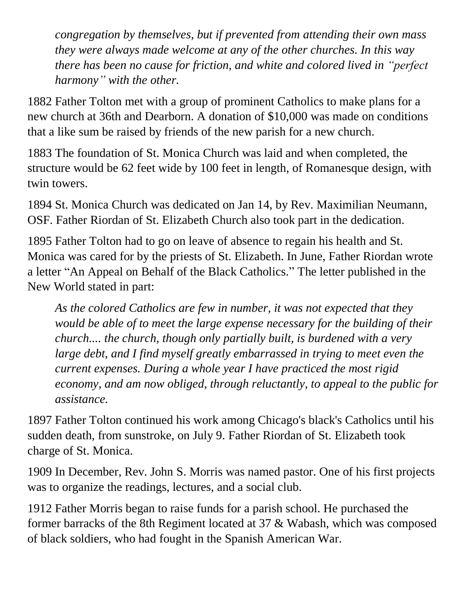*congregation by themselves, but if prevented from attending their own mass they were always made welcome at any of the other churches. In this way there has been no cause for friction, and white and colored lived in "perfect harmony" with the other.*

1882 Father Tolton met with a group of prominent Catholics to make plans for a new church at 36th and Dearborn. A donation of \$10,000 was made on conditions that a like sum be raised by friends of the new parish for a new church.

1883 The foundation of St. Monica Church was laid and when completed, the structure would be 62 feet wide by 100 feet in length, of Romanesque design, with twin towers.

1894 St. Monica Church was dedicated on Jan 14, by Rev. Maximilian Neumann, OSF. Father Riordan of St. Elizabeth Church also took part in the dedication.

1895 Father Tolton had to go on leave of absence to regain his health and St. Monica was cared for by the priests of St. Elizabeth. In June, Father Riordan wrote a letter "An Appeal on Behalf of the Black Catholics." The letter published in the New World stated in part:

*As the colored Catholics are few in number, it was not expected that they would be able of to meet the large expense necessary for the building of their church.... the church, though only partially built, is burdened with a very large debt, and I find myself greatly embarrassed in trying to meet even the current expenses. During a whole year I have practiced the most rigid economy, and am now obliged, through reluctantly, to appeal to the public for assistance.*

1897 Father Tolton continued his work among Chicago's black's Catholics until his sudden death, from sunstroke, on July 9. Father Riordan of St. Elizabeth took charge of St. Monica.

1909 In December, Rev. John S. Morris was named pastor. One of his first projects was to organize the readings, lectures, and a social club.

1912 Father Morris began to raise funds for a parish school. He purchased the former barracks of the 8th Regiment located at 37 & Wabash, which was composed of black soldiers, who had fought in the Spanish American War.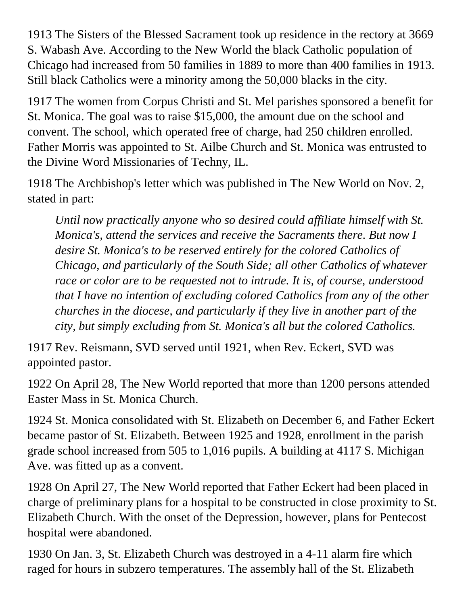1913 The Sisters of the Blessed Sacrament took up residence in the rectory at 3669 S. Wabash Ave. According to the New World the black Catholic population of Chicago had increased from 50 families in 1889 to more than 400 families in 1913. Still black Catholics were a minority among the 50,000 blacks in the city.

1917 The women from Corpus Christi and St. Mel parishes sponsored a benefit for St. Monica. The goal was to raise \$15,000, the amount due on the school and convent. The school, which operated free of charge, had 250 children enrolled. Father Morris was appointed to St. Ailbe Church and St. Monica was entrusted to the Divine Word Missionaries of Techny, IL.

1918 The Archbishop's letter which was published in The New World on Nov. 2, stated in part:

*Until now practically anyone who so desired could affiliate himself with St. Monica's, attend the services and receive the Sacraments there. But now I desire St. Monica's to be reserved entirely for the colored Catholics of Chicago, and particularly of the South Side; all other Catholics of whatever race or color are to be requested not to intrude. It is, of course, understood that I have no intention of excluding colored Catholics from any of the other churches in the diocese, and particularly if they live in another part of the city, but simply excluding from St. Monica's all but the colored Catholics.*

1917 Rev. Reismann, SVD served until 1921, when Rev. Eckert, SVD was appointed pastor.

1922 On April 28, The New World reported that more than 1200 persons attended Easter Mass in St. Monica Church.

1924 St. Monica consolidated with St. Elizabeth on December 6, and Father Eckert became pastor of St. Elizabeth. Between 1925 and 1928, enrollment in the parish grade school increased from 505 to 1,016 pupils. A building at 4117 S. Michigan Ave. was fitted up as a convent.

1928 On April 27, The New World reported that Father Eckert had been placed in charge of preliminary plans for a hospital to be constructed in close proximity to St. Elizabeth Church. With the onset of the Depression, however, plans for Pentecost hospital were abandoned.

1930 On Jan. 3, St. Elizabeth Church was destroyed in a 4-11 alarm fire which raged for hours in subzero temperatures. The assembly hall of the St. Elizabeth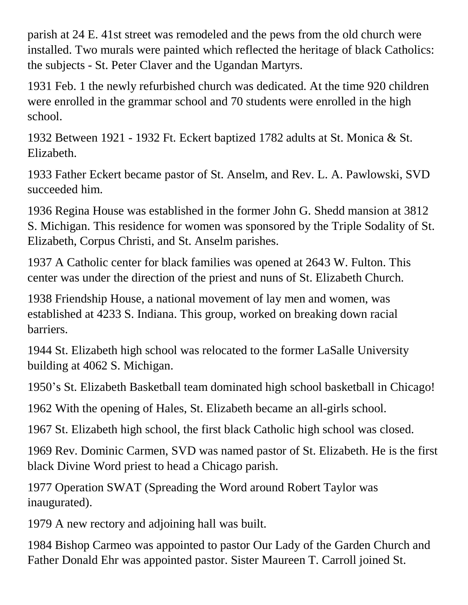parish at 24 E. 41st street was remodeled and the pews from the old church were installed. Two murals were painted which reflected the heritage of black Catholics: the subjects - St. Peter Claver and the Ugandan Martyrs.

1931 Feb. 1 the newly refurbished church was dedicated. At the time 920 children were enrolled in the grammar school and 70 students were enrolled in the high school.

1932 Between 1921 - 1932 Ft. Eckert baptized 1782 adults at St. Monica & St. Elizabeth.

1933 Father Eckert became pastor of St. Anselm, and Rev. L. A. Pawlowski, SVD succeeded him.

1936 Regina House was established in the former John G. Shedd mansion at 3812 S. Michigan. This residence for women was sponsored by the Triple Sodality of St. Elizabeth, Corpus Christi, and St. Anselm parishes.

1937 A Catholic center for black families was opened at 2643 W. Fulton. This center was under the direction of the priest and nuns of St. Elizabeth Church.

1938 Friendship House, a national movement of lay men and women, was established at 4233 S. Indiana. This group, worked on breaking down racial barriers.

1944 St. Elizabeth high school was relocated to the former LaSalle University building at 4062 S. Michigan.

1950's St. Elizabeth Basketball team dominated high school basketball in Chicago!

1962 With the opening of Hales, St. Elizabeth became an all-girls school.

1967 St. Elizabeth high school, the first black Catholic high school was closed.

1969 Rev. Dominic Carmen, SVD was named pastor of St. Elizabeth. He is the first black Divine Word priest to head a Chicago parish.

1977 Operation SWAT (Spreading the Word around Robert Taylor was inaugurated).

1979 A new rectory and adjoining hall was built.

1984 Bishop Carmeo was appointed to pastor Our Lady of the Garden Church and Father Donald Ehr was appointed pastor. Sister Maureen T. Carroll joined St.